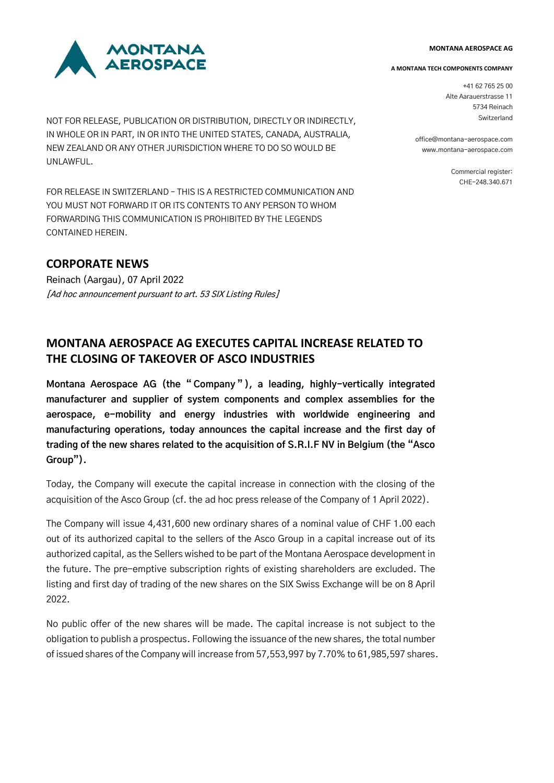#### **MONTANA AEROSPACE AG**



NOT FOR RELEASE, PUBLICATION OR DISTRIBUTION, DIRECTLY OR INDIRECTLY, IN WHOLE OR IN PART, IN OR INTO THE UNITED STATES, CANADA, AUSTRALIA, NEW ZEALAND OR ANY OTHER JURISDICTION WHERE TO DO SO WOULD BE UNLAWFUL.

FOR RELEASE IN SWITZERLAND – THIS IS A RESTRICTED COMMUNICATION AND YOU MUST NOT FORWARD IT OR ITS CONTENTS TO ANY PERSON TO WHOM FORWARDING THIS COMMUNICATION IS PROHIBITED BY THE LEGENDS CONTAINED HEREIN.

# **CORPORATE NEWS**

Reinach (Aargau), 07 April 2022 [Ad hoc announcement pursuant to art. 53 SIX Listing Rules]

### **A MONTANA TECH COMPONENTS COMPANY**

+41 62 765 25 00 Alte Aarauerstrasse 11 5734 Reinach Switzerland

office@montana-aerospace.com www.montana-aerospace.com

> Commercial register: CHE-248.340.671

# **MONTANA AEROSPACE AG EXECUTES CAPITAL INCREASE RELATED TO THE CLOSING OF TAKEOVER OF ASCO INDUSTRIES**

**Montana Aerospace AG (the " Company " ), a leading, highly-vertically integrated manufacturer and supplier of system components and complex assemblies for the aerospace, e-mobility and energy industries with worldwide engineering and manufacturing operations, today announces the capital increase and the first day of trading of the new shares related to the acquisition of S.R.I.F NV in Belgium (the "Asco Group").**

Today, the Company will execute the capital increase in connection with the closing of the acquisition of the Asco Group (cf. the ad hoc press release of the Company of 1 April 2022).

The Company will issue 4,431,600 new ordinary shares of a nominal value of CHF 1.00 each out of its authorized capital to the sellers of the Asco Group in a capital increase out of its authorized capital, as the Sellers wished to be part of the Montana Aerospace development in the future. The pre-emptive subscription rights of existing shareholders are excluded. The listing and first day of trading of the new shares on the SIX Swiss Exchange will be on 8 April 2022.

No public offer of the new shares will be made. The capital increase is not subject to the obligation to publish a prospectus. Following the issuance of the new shares, the total number of issued shares of the Company will increase from 57,553,997 by 7.70% to 61,985,597 shares.